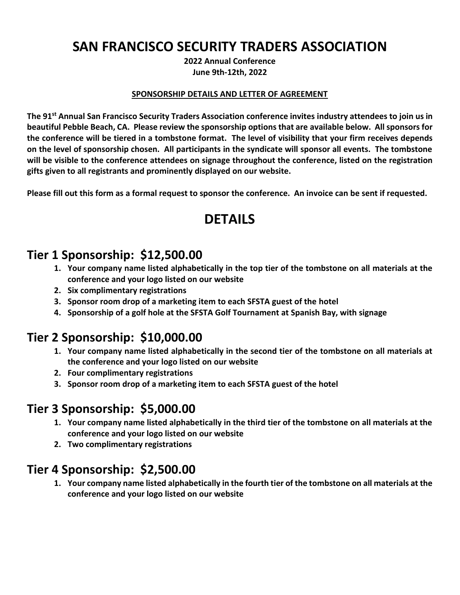# **SAN FRANCISCO SECURITY TRADERS ASSOCIATION**

**2022 Annual Conference June 9th-12th, 2022**

#### **SPONSORSHIP DETAILS AND LETTER OF AGREEMENT**

**The 91 st Annual San Francisco Security Traders Association conference invites industry attendees to join us in beautiful Pebble Beach, CA. Please review the sponsorship options that are available below. All sponsors for the conference will be tiered in a tombstone format. The level of visibility that your firm receives depends on the level of sponsorship chosen. All participants in the syndicate will sponsor all events. The tombstone will be visible to the conference attendees on signage throughout the conference, listed on the registration gifts given to all registrants and prominently displayed on our website.** 

**Please fill out this form as a formal request to sponsor the conference. An invoice can be sent if requested.** 

## **DETAILS**

#### **Tier 1 Sponsorship: \$12,500.00**

- **1. Your company name listed alphabetically in the top tier of the tombstone on all materials at the conference and your logo listed on our website**
- **2. Six complimentary registrations**
- **3. Sponsor room drop of a marketing item to each SFSTA guest of the hotel**
- **4. Sponsorship of a golf hole at the SFSTA Golf Tournament at Spanish Bay, with signage**

## **Tier 2 Sponsorship: \$10,000.00**

- **1. Your company name listed alphabetically in the second tier of the tombstone on all materials at the conference and your logo listed on our website**
- **2. Four complimentary registrations**
- **3. Sponsor room drop of a marketing item to each SFSTA guest of the hotel**

### **Tier 3 Sponsorship: \$5,000.00**

- **1. Your company name listed alphabetically in the third tier of the tombstone on all materials at the conference and your logo listed on our website**
- **2. Two complimentary registrations**

## **Tier 4 Sponsorship: \$2,500.00**

**1. Your company name listed alphabetically in the fourth tier of the tombstone on all materials at the conference and your logo listed on our website**